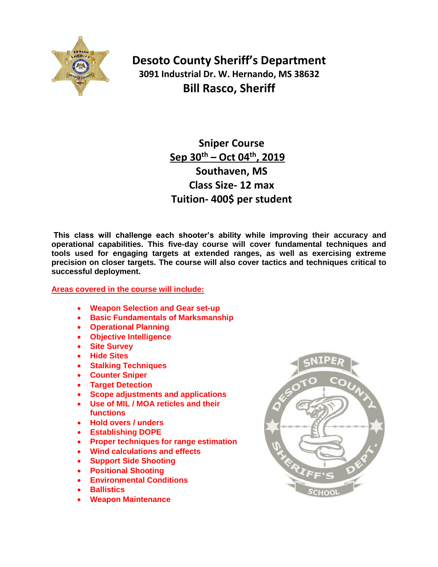

**Desoto County Sheriff's Department 3091 Industrial Dr. W. Hernando, MS 38632 Bill Rasco, Sheriff**

> **Sniper Course Sep 30th – Oct 04 th, 2019 Southaven, MS Class Size- 12 max Tuition- 400\$ per student**

**This class will challenge each shooter's ability while improving their accuracy and operational capabilities. This five-day course will cover fundamental techniques and tools used for engaging targets at extended ranges, as well as exercising extreme precision on closer targets. The course will also cover tactics and techniques critical to successful deployment.**

## **Areas covered in the course will include:**

- **Weapon Selection and Gear set-up**
- **Basic Fundamentals of Marksmanship**
- **Operational Planning**
- **Objective Intelligence**
- **Site Survey**
- **Hide Sites**
- **Stalking Techniques**
- **Counter Sniper**
- **Target Detection**
- **Scope adjustments and applications**
- **Use of MIL / MOA reticles and their functions**
- **Hold overs / unders**
- **Establishing DOPE**
- **Proper techniques for range estimation**
- **Wind calculations and effects**
- **Support Side Shooting**
- **Positional Shooting**
- **Environmental Conditions**
- **Ballistics**
- **Weapon Maintenance**